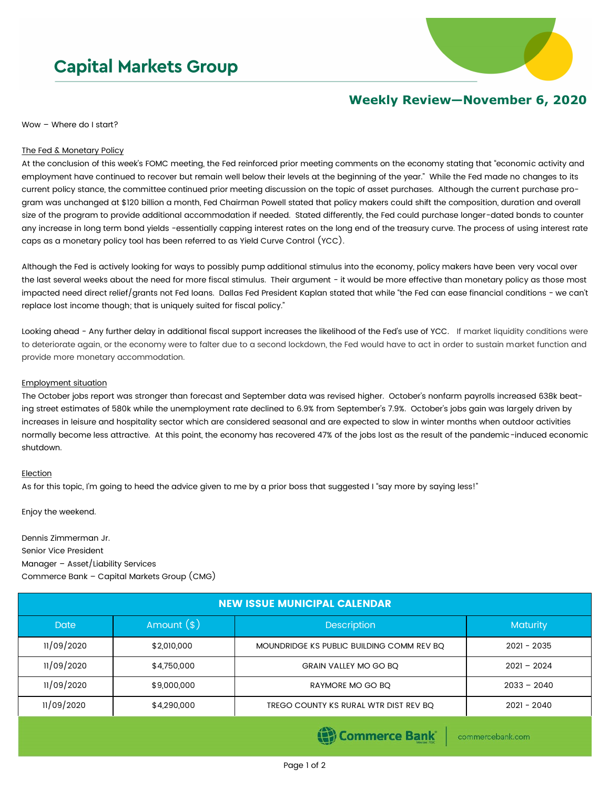# **Capital Markets Group**



## **Weekly Review—November 6, 2020**

Wow – Where do I start?

### The Fed & Monetary Policy

At the conclusion of this week's FOMC meeting, the Fed reinforced prior meeting comments on the economy stating that "economic activity and employment have continued to recover but remain well below their levels at the beginning of the year." While the Fed made no changes to its current policy stance, the committee continued prior meeting discussion on the topic of asset purchases. Although the current purchase program was unchanged at \$120 billion a month, Fed Chairman Powell stated that policy makers could shift the composition, duration and overall size of the program to provide additional accommodation if needed. Stated differently, the Fed could purchase longer-dated bonds to counter any increase in long term bond yields -essentially capping interest rates on the long end of the treasury curve. The process of using interest rate caps as a monetary policy tool has been referred to as Yield Curve Control (YCC).

Although the Fed is actively looking for ways to possibly pump additional stimulus into the economy, policy makers have been very vocal over the last several weeks about the need for more fiscal stimulus. Their argument - it would be more effective than monetary policy as those most impacted need direct relief/grants not Fed loans. Dallas Fed President Kaplan stated that while "the Fed can ease financial conditions - we can't replace lost income though; that is uniquely suited for fiscal policy."

Looking ahead - Any further delay in additional fiscal support increases the likelihood of the Fed's use of YCC. If market liquidity conditions were to deteriorate again, or the economy were to falter due to a second lockdown, the Fed would have to act in order to sustain market function and provide more monetary accommodation.

## Employment situation

The October jobs report was stronger than forecast and September data was revised higher. October's nonfarm payrolls increased 638k beating street estimates of 580k while the unemployment rate declined to 6.9% from September's 7.9%. October's jobs gain was largely driven by increases in leisure and hospitality sector which are considered seasonal and are expected to slow in winter months when outdoor activities normally become less attractive. At this point, the economy has recovered 47% of the jobs lost as the result of the pandemic-induced economic shutdown.

### Election

As for this topic, I'm going to heed the advice given to me by a prior boss that suggested I "say more by saying less!"

Enjoy the weekend.

Dennis Zimmerman Jr. Senior Vice President Manager – Asset/Liability Services Commerce Bank – Capital Markets Group (CMG)

| <b>NEW ISSUE MUNICIPAL CALENDAR</b> |              |                                           |                 |  |  |  |
|-------------------------------------|--------------|-------------------------------------------|-----------------|--|--|--|
| <b>Date</b>                         | Amount $(*)$ | <b>Description</b>                        | <b>Maturity</b> |  |  |  |
| 11/09/2020                          | \$2,010,000  | MOUNDRIDGE KS PUBLIC BUILDING COMM REV BQ | $2021 - 2035$   |  |  |  |
| 11/09/2020                          | \$4,750,000  | <b>GRAIN VALLEY MO GO BO</b>              | $2021 - 2024$   |  |  |  |
| 11/09/2020                          | \$9,000,000  | RAYMORE MO GO BO                          | $2033 - 2040$   |  |  |  |
| 11/09/2020                          | \$4,290,000  | TREGO COUNTY KS RURAL WTR DIST REV BQ     | $2021 - 2040$   |  |  |  |

Commerce Bank

commercebank.com